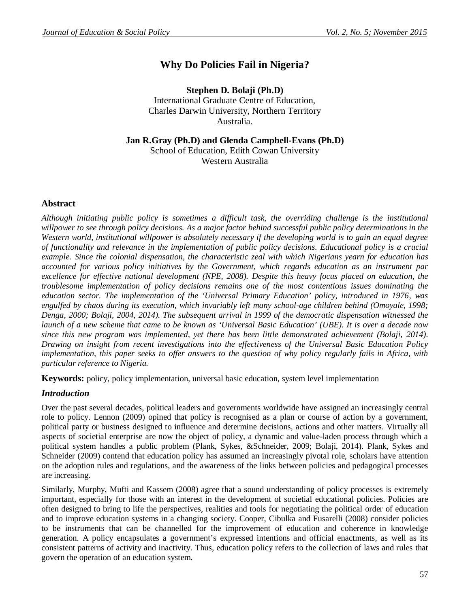# **Why Do Policies Fail in Nigeria?**

**Stephen D. Bolaji (Ph.D)** International Graduate Centre of Education, Charles Darwin University, Northern Territory Australia.

**Jan R.Gray (Ph.D) and Glenda Campbell-Evans (Ph.D)** School of Education, Edith Cowan University Western Australia

# **Abstract**

*Although initiating public policy is sometimes a difficult task, the overriding challenge is the institutional willpower to see through policy decisions. As a major factor behind successful public policy determinations in the Western world, institutional willpower is absolutely necessary if the developing world is to gain an equal degree of functionality and relevance in the implementation of public policy decisions. Educational policy is a crucial example. Since the colonial dispensation, the characteristic zeal with which Nigerians yearn for education has accounted for various policy initiatives by the Government, which regards education as an instrument par excellence for effective national development (NPE, 2008). Despite this heavy focus placed on education, the troublesome implementation of policy decisions remains one of the most contentious issues dominating the education sector. The implementation of the 'Universal Primary Education' policy, introduced in 1976, was engulfed by chaos during its execution, which invariably left many school-age children behind (Omoyale, 1998; Denga, 2000; Bolaji, 2004, 2014). The subsequent arrival in 1999 of the democratic dispensation witnessed the launch of a new scheme that came to be known as 'Universal Basic Education' (UBE). It is over a decade now since this new program was implemented, yet there has been little demonstrated achievement (Bolaji, 2014). Drawing on insight from recent investigations into the effectiveness of the Universal Basic Education Policy implementation, this paper seeks to offer answers to the question of why policy regularly fails in Africa, with particular reference to Nigeria.*

**Keywords:** policy, policy implementation, universal basic education, system level implementation

# *Introduction*

Over the past several decades, political leaders and governments worldwide have assigned an increasingly central role to policy. Lennon (2009) opined that policy is recognised as a plan or course of action by a government, political party or business designed to influence and determine decisions, actions and other matters. Virtually all aspects of societial enterprise are now the object of policy, a dynamic and value-laden process through which a political system handles a public problem (Plank, Sykes, &Schneider, 2009; Bolaji, 2014). Plank, Sykes and Schneider (2009) contend that education policy has assumed an increasingly pivotal role, scholars have attention on the adoption rules and regulations, and the awareness of the links between policies and pedagogical processes are increasing.

Similarly, Murphy, Mufti and Kassem (2008) agree that a sound understanding of policy processes is extremely important, especially for those with an interest in the development of societial educational policies. Policies are often designed to bring to life the perspectives, realities and tools for negotiating the political order of education and to improve education systems in a changing society. Cooper, Cibulka and Fusarelli (2008) consider policies to be instruments that can be channelled for the improvement of education and coherence in knowledge generation. A policy encapsulates a government's expressed intentions and official enactments, as well as its consistent patterns of activity and inactivity. Thus, education policy refers to the collection of laws and rules that govern the operation of an education system.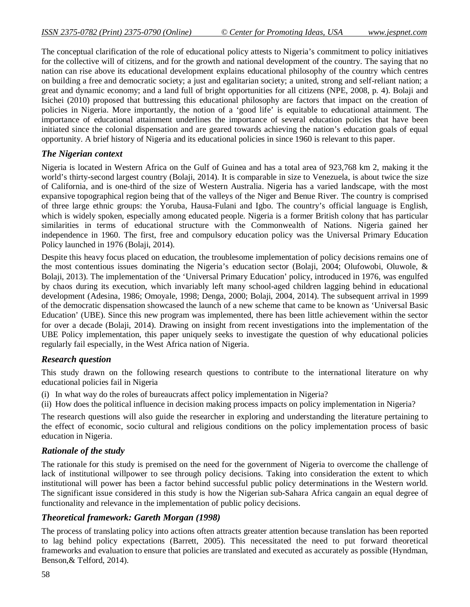The conceptual clarification of the role of educational policy attests to Nigeria's commitment to policy initiatives for the collective will of citizens, and for the growth and national development of the country. The saying that no nation can rise above its educational development explains educational philosophy of the country which centres on building a free and democratic society; a just and egalitarian society; a united, strong and self-reliant nation; a great and dynamic economy; and a land full of bright opportunities for all citizens (NPE, 2008, p. 4). Bolaji and Isichei (2010) proposed that buttressing this educational philosophy are factors that impact on the creation of policies in Nigeria. More importantly, the notion of a 'good life' is equitable to educational attainment. The importance of educational attainment underlines the importance of several education policies that have been initiated since the colonial dispensation and are geared towards achieving the nation's education goals of equal opportunity. A brief history of Nigeria and its educational policies in since 1960 is relevant to this paper.

## *The Nigerian context*

Nigeria is located in Western Africa on the Gulf of Guinea and has a total area of 923,768 km 2, making it the world's thirty-second largest country (Bolaji, 2014). It is comparable in size to Venezuela, is about twice the size of California, and is one-third of the size of Western Australia. Nigeria has a varied landscape, with the most expansive topographical region being that of the valleys of the Niger and Benue River. The country is comprised of three large ethnic groups: the Yoruba, Hausa-Fulani and Igbo. The country's official language is English, which is widely spoken, especially among educated people. Nigeria is a former British colony that has particular similarities in terms of educational structure with the Commonwealth of Nations. Nigeria gained her independence in 1960. The first, free and compulsory education policy was the Universal Primary Education Policy launched in 1976 (Bolaji, 2014).

Despite this heavy focus placed on education, the troublesome implementation of policy decisions remains one of the most contentious issues dominating the Nigeria's education sector (Bolaji, 2004; Olufowobi, Oluwole, & Bolaji, 2013). The implementation of the 'Universal Primary Education' policy, introduced in 1976, was engulfed by chaos during its execution, which invariably left many school-aged children lagging behind in educational development (Adesina, 1986; Omoyale, 1998; Denga, 2000; Bolaji, 2004, 2014). The subsequent arrival in 1999 of the democratic dispensation showcased the launch of a new scheme that came to be known as 'Universal Basic Education' (UBE). Since this new program was implemented, there has been little achievement within the sector for over a decade (Bolaji, 2014). Drawing on insight from recent investigations into the implementation of the UBE Policy implementation, this paper uniquely seeks to investigate the question of why educational policies regularly fail especially, in the West Africa nation of Nigeria.

#### *Research question*

This study drawn on the following research questions to contribute to the international literature on why educational policies fail in Nigeria

(i) In what way do the roles of bureaucrats affect policy implementation in Nigeria?

(ii) How does the political influence in decision making process impacts on policy implementation in Nigeria?

The research questions will also guide the researcher in exploring and understanding the literature pertaining to the effect of economic, socio cultural and religious conditions on the policy implementation process of basic education in Nigeria.

# *Rationale of the study*

The rationale for this study is premised on the need for the government of Nigeria to overcome the challenge of lack of institutional willpower to see through policy decisions. Taking into consideration the extent to which institutional will power has been a factor behind successful public policy determinations in the Western world. The significant issue considered in this study is how the Nigerian sub-Sahara Africa cangain an equal degree of functionality and relevance in the implementation of public policy decisions.

#### *Theoretical framework: Gareth Morgan (1998)*

The process of translating policy into actions often attracts greater attention because translation has been reported to lag behind policy expectations (Barrett, 2005). This necessitated the need to put forward theoretical frameworks and evaluation to ensure that policies are translated and executed as accurately as possible (Hyndman, Benson,& Telford, 2014).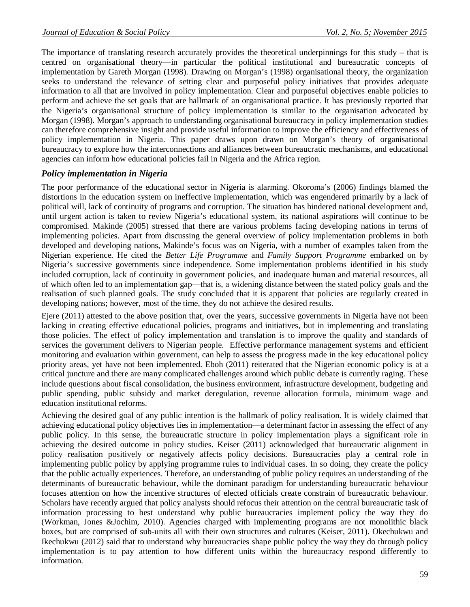The importance of translating research accurately provides the theoretical underpinnings for this study – that is centred on organisational theory—in particular the political institutional and bureaucratic concepts of implementation by Gareth Morgan (1998). Drawing on Morgan's (1998) organisational theory, the organization seeks to understand the relevance of setting clear and purposeful policy initiatives that provides adequate information to all that are involved in policy implementation. Clear and purposeful objectives enable policies to perform and achieve the set goals that are hallmark of an organisational practice. It has previously reported that the Nigeria's organisational structure of policy implementation is similar to the organisation advocated by Morgan (1998). Morgan's approach to understanding organisational bureaucracy in policy implementation studies can therefore comprehensive insight and provide useful information to improve the efficiency and effectiveness of policy implementation in Nigeria. This paper draws upon drawn on Morgan's theory of organisational bureaucracy to explore how the interconnections and alliances between bureaucratic mechanisms, and educational agencies can inform how educational policies fail in Nigeria and the Africa region.

## *Policy implementation in Nigeria*

The poor performance of the educational sector in Nigeria is alarming. Okoroma's (2006) findings blamed the distortions in the education system on ineffective implementation, which was engendered primarily by a lack of political will, lack of continuity of programs and corruption. The situation has hindered national development and, until urgent action is taken to review Nigeria's educational system, its national aspirations will continue to be compromised. Makinde (2005) stressed that there are various problems facing developing nations in terms of implementing policies. Apart from discussing the general overview of policy implementation problems in both developed and developing nations, Makinde's focus was on Nigeria, with a number of examples taken from the Nigerian experience. He cited the *Better Life Programme* and *Family Support Programme* embarked on by Nigeria's successive governments since independence. Some implementation problems identified in his study included corruption, lack of continuity in government policies, and inadequate human and material resources, all of which often led to an implementation gap—that is, a widening distance between the stated policy goals and the realisation of such planned goals. The study concluded that it is apparent that policies are regularly created in developing nations; however, most of the time, they do not achieve the desired results.

Ejere (2011) attested to the above position that, over the years, successive governments in Nigeria have not been lacking in creating effective educational policies, programs and initiatives, but in implementing and translating those policies. The effect of policy implementation and translation is to improve the quality and standards of services the government delivers to Nigerian people. Effective performance management systems and efficient monitoring and evaluation within government, can help to assess the progress made in the key educational policy priority areas, yet have not been implemented. Eboh (2011) reiterated that the Nigerian economic policy is at a critical juncture and there are many complicated challenges around which public debate is currently raging. These include questions about fiscal consolidation, the business environment, infrastructure development, budgeting and public spending, public subsidy and market deregulation, revenue allocation formula, minimum wage and education institutional reforms.

Achieving the desired goal of any public intention is the hallmark of policy realisation. It is widely claimed that achieving educational policy objectives lies in implementation—a determinant factor in assessing the effect of any public policy. In this sense, the bureaucratic structure in policy implementation plays a significant role in achieving the desired outcome in policy studies. Keiser (2011) acknowledged that bureaucratic alignment in policy realisation positively or negatively affects policy decisions. Bureaucracies play a central role in implementing public policy by applying programme rules to individual cases. In so doing, they create the policy that the public actually experiences. Therefore, an understanding of public policy requires an understanding of the determinants of bureaucratic behaviour, while the dominant paradigm for understanding bureaucratic behaviour focuses attention on how the incentive structures of elected officials create constrain of bureaucratic behaviour. Scholars have recently argued that policy analysts should refocus their attention on the central bureaucratic task of information processing to best understand why public bureaucracies implement policy the way they do (Workman, Jones &Jochim, 2010). Agencies charged with implementing programs are not monolithic black boxes, but are comprised of sub-units all with their own structures and cultures (Keiser, 2011). Okechukwu and Ikechukwu (2012) said that to understand why bureaucracies shape public policy the way they do through policy implementation is to pay attention to how different units within the bureaucracy respond differently to information.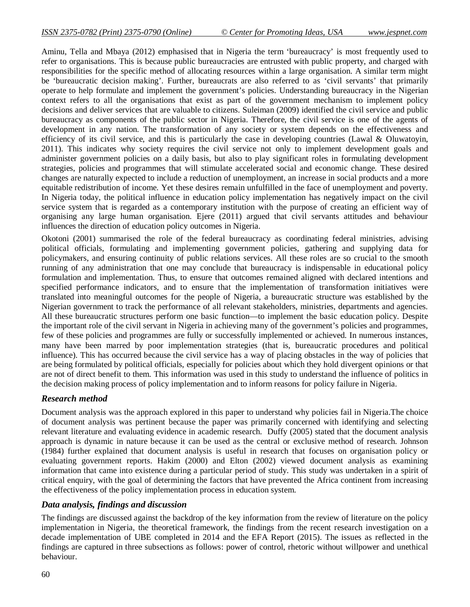Aminu, Tella and Mbaya (2012) emphasised that in Nigeria the term 'bureaucracy' is most frequently used to refer to organisations. This is because public bureaucracies are entrusted with public property, and charged with responsibilities for the specific method of allocating resources within a large organisation. A similar term might be 'bureaucratic decision making'. Further, bureaucrats are also referred to as 'civil servants' that primarily operate to help formulate and implement the government's policies. Understanding bureaucracy in the Nigerian context refers to all the organisations that exist as part of the government mechanism to implement policy decisions and deliver services that are valuable to citizens. Suleiman (2009) identified the civil service and public bureaucracy as components of the public sector in Nigeria. Therefore, the civil service is one of the agents of development in any nation. The transformation of any society or system depends on the effectiveness and efficiency of its civil service, and this is particularly the case in developing countries (Lawal & Oluwatoyin, 2011). This indicates why society requires the civil service not only to implement development goals and administer government policies on a daily basis, but also to play significant roles in formulating development strategies, policies and programmes that will stimulate accelerated social and economic change. These desired changes are naturally expected to include a reduction of unemployment, an increase in social products and a more equitable redistribution of income. Yet these desires remain unfulfilled in the face of unemployment and poverty. In Nigeria today, the political influence in education policy implementation has negatively impact on the civil service system that is regarded as a contemporary institution with the purpose of creating an efficient way of organising any large human organisation. Ejere (2011) argued that civil servants attitudes and behaviour influences the direction of education policy outcomes in Nigeria.

Okotoni (2001) summarised the role of the federal bureaucracy as coordinating federal ministries, advising political officials, formulating and implementing government policies, gathering and supplying data for policymakers, and ensuring continuity of public relations services. All these roles are so crucial to the smooth running of any administration that one may conclude that bureaucracy is indispensable in educational policy formulation and implementation. Thus, to ensure that outcomes remained aligned with declared intentions and specified performance indicators, and to ensure that the implementation of transformation initiatives were translated into meaningful outcomes for the people of Nigeria, a bureaucratic structure was established by the Nigerian government to track the performance of all relevant stakeholders, ministries, departments and agencies. All these bureaucratic structures perform one basic function—to implement the basic education policy. Despite the important role of the civil servant in Nigeria in achieving many of the government's policies and programmes, few of these policies and programmes are fully or successfully implemented or achieved. In numerous instances, many have been marred by poor implementation strategies (that is, bureaucratic procedures and political influence). This has occurred because the civil service has a way of placing obstacles in the way of policies that are being formulated by political officials, especially for policies about which they hold divergent opinions or that are not of direct benefit to them. This information was used in this study to understand the influence of politics in the decision making process of policy implementation and to inform reasons for policy failure in Nigeria.

# *Research method*

Document analysis was the approach explored in this paper to understand why policies fail in Nigeria.The choice of document analysis was pertinent because the paper was primarily concerned with identifying and selecting relevant literature and evaluating evidence in academic research. Duffy (2005) stated that the document analysis approach is dynamic in nature because it can be used as the central or exclusive method of research. Johnson (1984) further explained that document analysis is useful in research that focuses on organisation policy or evaluating government reports. Hakim (2000) and Elton (2002) viewed document analysis as examining information that came into existence during a particular period of study. This study was undertaken in a spirit of critical enquiry, with the goal of determining the factors that have prevented the Africa continent from increasing the effectiveness of the policy implementation process in education system.

#### *Data analysis, findings and discussion*

The findings are discussed against the backdrop of the key information from the review of literature on the policy implementation in Nigeria, the theoretical framework, the findings from the recent research investigation on a decade implementation of UBE completed in 2014 and the EFA Report (2015). The issues as reflected in the findings are captured in three subsections as follows: power of control, rhetoric without willpower and unethical behaviour.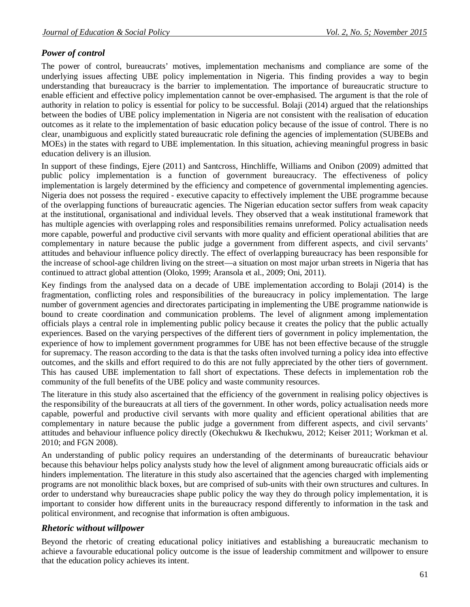# *Power of control*

The power of control, bureaucrats' motives, implementation mechanisms and compliance are some of the underlying issues affecting UBE policy implementation in Nigeria. This finding provides a way to begin understanding that bureaucracy is the barrier to implementation. The importance of bureaucratic structure to enable efficient and effective policy implementation cannot be over-emphasised. The argument is that the role of authority in relation to policy is essential for policy to be successful. Bolaji (2014) argued that the relationships between the bodies of UBE policy implementation in Nigeria are not consistent with the realisation of education outcomes as it relate to the implementation of basic education policy because of the issue of control. There is no clear, unambiguous and explicitly stated bureaucratic role defining the agencies of implementation (SUBEBs and MOEs) in the states with regard to UBE implementation. In this situation, achieving meaningful progress in basic education delivery is an illusion.

In support of these findings, Ejere (2011) and Santcross, Hinchliffe, Williams and Onibon (2009) admitted that public policy implementation is a function of government bureaucracy. The effectiveness of policy implementation is largely determined by the efficiency and competence of governmental implementing agencies. Nigeria does not possess the required - executive capacity to effectively implement the UBE programme because of the overlapping functions of bureaucratic agencies. The Nigerian education sector suffers from weak capacity at the institutional, organisational and individual levels. They observed that a weak institutional framework that has multiple agencies with overlapping roles and responsibilities remains unreformed. Policy actualisation needs more capable, powerful and productive civil servants with more quality and efficient operational abilities that are complementary in nature because the public judge a government from different aspects, and civil servants' attitudes and behaviour influence policy directly. The effect of overlapping bureaucracy has been responsible for the increase of school-age children living on the street—a situation on most major urban streets in Nigeria that has continued to attract global attention (Oloko, 1999; Aransola et al., 2009; Oni, 2011).

Key findings from the analysed data on a decade of UBE implementation according to Bolaji (2014) is the fragmentation, conflicting roles and responsibilities of the bureaucracy in policy implementation. The large number of government agencies and directorates participating in implementing the UBE programme nationwide is bound to create coordination and communication problems. The level of alignment among implementation officials plays a central role in implementing public policy because it creates the policy that the public actually experiences. Based on the varying perspectives of the different tiers of government in policy implementation, the experience of how to implement government programmes for UBE has not been effective because of the struggle for supremacy. The reason according to the data is that the tasks often involved turning a policy idea into effective outcomes, and the skills and effort required to do this are not fully appreciated by the other tiers of government. This has caused UBE implementation to fall short of expectations. These defects in implementation rob the community of the full benefits of the UBE policy and waste community resources.

The literature in this study also ascertained that the efficiency of the government in realising policy objectives is the responsibility of the bureaucrats at all tiers of the government. In other words, policy actualisation needs more capable, powerful and productive civil servants with more quality and efficient operational abilities that are complementary in nature because the public judge a government from different aspects, and civil servants' attitudes and behaviour influence policy directly (Okechukwu & Ikechukwu, 2012; Keiser 2011; Workman et al. 2010; and FGN 2008).

An understanding of public policy requires an understanding of the determinants of bureaucratic behaviour because this behaviour helps policy analysts study how the level of alignment among bureaucratic officials aids or hinders implementation. The literature in this study also ascertained that the agencies charged with implementing programs are not monolithic black boxes, but are comprised of sub-units with their own structures and cultures. In order to understand why bureaucracies shape public policy the way they do through policy implementation, it is important to consider how different units in the bureaucracy respond differently to information in the task and political environment, and recognise that information is often ambiguous.

# *Rhetoric without willpower*

Beyond the rhetoric of creating educational policy initiatives and establishing a bureaucratic mechanism to achieve a favourable educational policy outcome is the issue of leadership commitment and willpower to ensure that the education policy achieves its intent.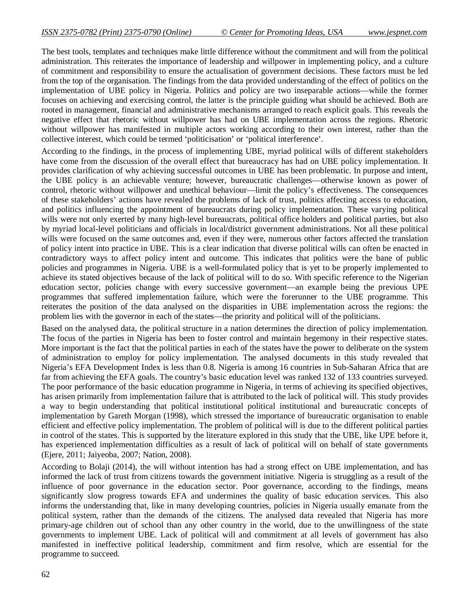The best tools, templates and techniques make little difference without the commitment and will from the political administration. This reiterates the importance of leadership and willpower in implementing policy, and a culture of commitment and responsibility to ensure the actualisation of government decisions. These factors must be led from the top of the organisation. The findings from the data provided understanding of the effect of politics on the implementation of UBE policy in Nigeria. Politics and policy are two inseparable actions—while the former focuses on achieving and exercising control, the latter is the principle guiding what should be achieved. Both are rooted in management, financial and administrative mechanisms arranged to reach explicit goals. This reveals the negative effect that rhetoric without willpower has had on UBE implementation across the regions. Rhetoric without willpower has manifested in multiple actors working according to their own interest, rather than the collective interest, which could be termed 'politicisation' or 'political interference'.

According to the findings, in the process of implementing UBE, myriad political wills of different stakeholders have come from the discussion of the overall effect that bureaucracy has had on UBE policy implementation. It provides clarification of why achieving successful outcomes in UBE has been problematic. In purpose and intent, the UBE policy is an achievable venture; however, bureaucratic challenges—otherwise known as power of control, rhetoric without willpower and unethical behaviour—limit the policy's effectiveness. The consequences of these stakeholders' actions have revealed the problems of lack of trust, politics affecting access to education, and politics influencing the appointment of bureaucrats during policy implementation. These varying political wills were not only exerted by many high-level bureaucrats, political office holders and political parties, but also by myriad local-level politicians and officials in local/district government administrations. Not all these political wills were focused on the same outcomes and, even if they were, numerous other factors affected the translation of policy intent into practice in UBE. This is a clear indication that diverse political wills can often be enacted in contradictory ways to affect policy intent and outcome. This indicates that politics were the bane of public policies and programmes in Nigeria. UBE is a well-formulated policy that is yet to be properly implemented to achieve its stated objectives because of the lack of political will to do so. With specific reference to the Nigerian education sector, policies change with every successive government—an example being the previous UPE programmes that suffered implementation failure, which were the forerunner to the UBE programme. This reiterates the position of the data analysed on the disparities in UBE implementation across the regions: the problem lies with the governor in each of the states—the priority and political will of the politicians.

Based on the analysed data, the political structure in a nation determines the direction of policy implementation. The focus of the parties in Nigeria has been to foster control and maintain hegemony in their respective states. More important is the fact that the political parties in each of the states have the power to deliberate on the system of administration to employ for policy implementation. The analysed documents in this study revealed that Nigeria's EFA Development Index is less than 0.8. Nigeria is among 16 countries in Sub-Saharan Africa that are far from achieving the EFA goals. The country's basic education level was ranked 132 of 133 countries surveyed. The poor performance of the basic education programme in Nigeria, in terms of achieving its specified objectives, has arisen primarily from implementation failure that is attributed to the lack of political will. This study provides a way to begin understanding that political institutional political institutional and bureaucratic concepts of implementation by Gareth Morgan (1998), which stressed the importance of bureaucratic organisation to enable efficient and effective policy implementation. The problem of political will is due to the different political parties in control of the states. This is supported by the literature explored in this study that the UBE, like UPE before it, has experienced implementation difficulties as a result of lack of political will on behalf of state governments (Ejere, 2011; Jaiyeoba, 2007; Nation, 2008).

According to Bolaji (2014), the will without intention has had a strong effect on UBE implementation, and has informed the lack of trust from citizens towards the government initiative. Nigeria is struggling as a result of the influence of poor governance in the education sector. Poor governance, according to the findings, means significantly slow progress towards EFA and undermines the quality of basic education services. This also informs the understanding that, like in many developing countries, policies in Nigeria usually emanate from the political system, rather than the demands of the citizens. The analysed data revealed that Nigeria has more primary-age children out of school than any other country in the world, due to the unwillingness of the state governments to implement UBE. Lack of political will and commitment at all levels of government has also manifested in ineffective political leadership, commitment and firm resolve, which are essential for the programme to succeed.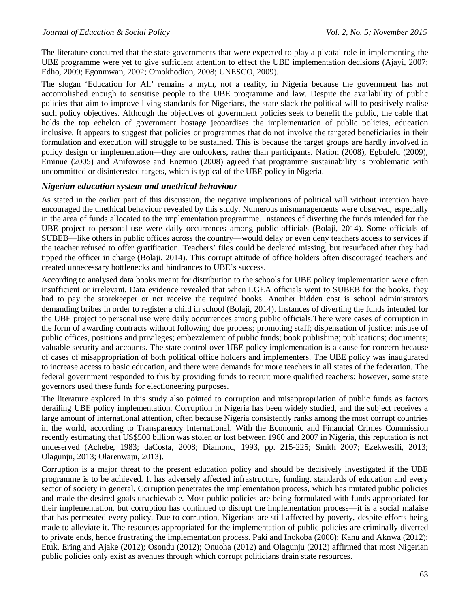The literature concurred that the state governments that were expected to play a pivotal role in implementing the UBE programme were yet to give sufficient attention to effect the UBE implementation decisions (Ajayi, 2007; Edho, 2009; Egonmwan, 2002; Omokhodion, 2008; UNESCO, 2009).

The slogan 'Education for All' remains a myth, not a reality, in Nigeria because the government has not accomplished enough to sensitise people to the UBE programme and law. Despite the availability of public policies that aim to improve living standards for Nigerians, the state slack the political will to positively realise such policy objectives. Although the objectives of government policies seek to benefit the public, the cable that holds the top echelon of government hostage jeopardises the implementation of public policies, education inclusive. It appears to suggest that policies or programmes that do not involve the targeted beneficiaries in their formulation and execution will struggle to be sustained. This is because the target groups are hardly involved in policy design or implementation—they are onlookers, rather than participants. Nation (2008), Egbulefu (2009), Eminue (2005) and Anifowose and Enemuo (2008) agreed that programme sustainability is problematic with uncommitted or disinterested targets, which is typical of the UBE policy in Nigeria.

#### *Nigerian education system and unethical behaviour*

As stated in the earlier part of this discussion, the negative implications of political will without intention have encouraged the unethical behaviour revealed by this study. Numerous mismanagements were observed, especially in the area of funds allocated to the implementation programme. Instances of diverting the funds intended for the UBE project to personal use were daily occurrences among public officials (Bolaji, 2014). Some officials of SUBEB—like others in public offices across the country—would delay or even deny teachers access to services if the teacher refused to offer gratification. Teachers' files could be declared missing, but resurfaced after they had tipped the officer in charge (Bolaji, 2014). This corrupt attitude of office holders often discouraged teachers and created unnecessary bottlenecks and hindrances to UBE's success.

According to analysed data books meant for distribution to the schools for UBE policy implementation were often insufficient or irrelevant. Data evidence revealed that when LGEA officials went to SUBEB for the books, they had to pay the storekeeper or not receive the required books. Another hidden cost is school administrators demanding bribes in order to register a child in school (Bolaji, 2014). Instances of diverting the funds intended for the UBE project to personal use were daily occurrences among public officials.There were cases of corruption in the form of awarding contracts without following due process; promoting staff; dispensation of justice; misuse of public offices, positions and privileges; embezzlement of public funds; book publishing; publications; documents; valuable security and accounts. The state control over UBE policy implementation is a cause for concern because of cases of misappropriation of both political office holders and implementers. The UBE policy was inaugurated to increase access to basic education, and there were demands for more teachers in all states of the federation. The federal government responded to this by providing funds to recruit more qualified teachers; however, some state governors used these funds for electioneering purposes.

The literature explored in this study also pointed to corruption and misappropriation of public funds as factors derailing UBE policy implementation. Corruption in Nigeria has been widely studied, and the subject receives a large amount of international attention, often because Nigeria consistently ranks among the most corrupt countries in the world, according to Transparency International. With the Economic and Financial Crimes Commission recently estimating that US\$500 billion was stolen or lost between 1960 and 2007 in Nigeria, this reputation is not undeserved (Achebe, 1983; daCosta, 2008; Diamond, 1993, pp. 215-225; Smith 2007; Ezekwesili, 2013; Olagunju, 2013; Olarenwaju, 2013).

Corruption is a major threat to the present education policy and should be decisively investigated if the UBE programme is to be achieved. It has adversely affected infrastructure, funding, standards of education and every sector of society in general. Corruption penetrates the implementation process, which has mutated public policies and made the desired goals unachievable. Most public policies are being formulated with funds appropriated for their implementation, but corruption has continued to disrupt the implementation process—it is a social malaise that has permeated every policy. Due to corruption, Nigerians are still affected by poverty, despite efforts being made to alleviate it. The resources appropriated for the implementation of public policies are criminally diverted to private ends, hence frustrating the implementation process. Paki and Inokoba (2006); Kanu and Aknwa (2012); Etuk, Ering and Ajake (2012); Osondu (2012); Onuoha (2012) and Olagunju (2012) affirmed that most Nigerian public policies only exist as avenues through which corrupt politicians drain state resources.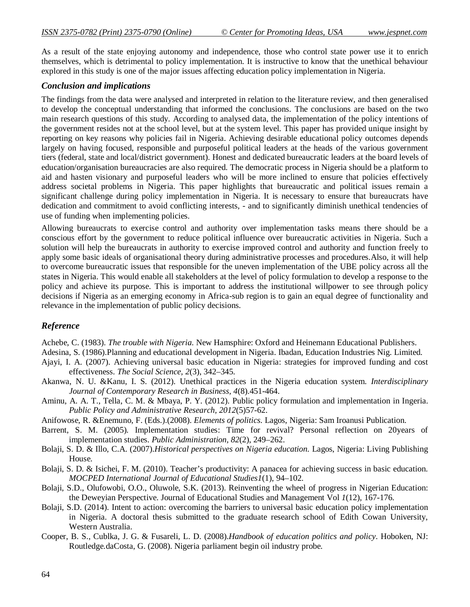As a result of the state enjoying autonomy and independence, those who control state power use it to enrich themselves, which is detrimental to policy implementation. It is instructive to know that the unethical behaviour explored in this study is one of the major issues affecting education policy implementation in Nigeria.

#### *Conclusion and implications*

The findings from the data were analysed and interpreted in relation to the literature review, and then generalised to develop the conceptual understanding that informed the conclusions. The conclusions are based on the two main research questions of this study. According to analysed data, the implementation of the policy intentions of the government resides not at the school level, but at the system level. This paper has provided unique insight by reporting on key reasons why policies fail in Nigeria. Achieving desirable educational policy outcomes depends largely on having focused, responsible and purposeful political leaders at the heads of the various government tiers (federal, state and local/district government). Honest and dedicated bureaucratic leaders at the board levels of education/organisation bureaucracies are also required. The democratic process in Nigeria should be a platform to aid and hasten visionary and purposeful leaders who will be more inclined to ensure that policies effectively address societal problems in Nigeria. This paper highlights that bureaucratic and political issues remain a significant challenge during policy implementation in Nigeria. It is necessary to ensure that bureaucrats have dedication and commitment to avoid conflicting interests, - and to significantly diminish unethical tendencies of use of funding when implementing policies.

Allowing bureaucrats to exercise control and authority over implementation tasks means there should be a conscious effort by the government to reduce political influence over bureaucratic activities in Nigeria. Such a solution will help the bureaucrats in authority to exercise improved control and authority and function freely to apply some basic ideals of organisational theory during administrative processes and procedures.Also, it will help to overcome bureaucratic issues that responsible for the uneven implementation of the UBE policy across all the states in Nigeria. This would enable all stakeholders at the level of policy formulation to develop a response to the policy and achieve its purpose. This is important to address the institutional willpower to see through policy decisions if Nigeria as an emerging economy in Africa-sub region is to gain an equal degree of functionality and relevance in the implementation of public policy decisions.

#### *Reference*

Achebe, C. (1983). *The trouble with Nigeria*. New Hamsphire: Oxford and Heinemann Educational Publishers.

Adesina, S. (1986).Planning and educational development in Nigeria. Ibadan, Education Industries Nig. Limited.

- Ajayi, I. A. (2007). Achieving universal basic education in Nigeria: strategies for improved funding and cost effectiveness. *The Social Science, 2*(3), 342–345.
- Akanwa, N. U. &Kanu, I. S. (2012). Unethical practices in the Nigeria education system. *Interdisciplinary Journal of Contemporary Research in Business, 4*(8).451-464.
- Aminu, A. A. T., Tella, C. M. & Mbaya, P. Y. (2012). Public policy formulation and implementation in Ingeria. *Public Policy and Administrative Research, 2012*(5)57-62.
- Anifowose, R. &Enemuno, F. (Eds.).(2008). *Elements of politics*. Lagos, Nigeria: Sam Iroanusi Publication.
- Barrent, S. M. (2005). Implementation studies: Time for revival? Personal reflection on 20years of implementation studies. *Public Administration, 82*(2), 249–262.
- Bolaji, S. D. & Illo, C.A. (2007).*Historical perspectives on Nigeria education.* Lagos, Nigeria: Living Publishing House.
- Bolaji, S. D. & Isichei, F. M. (2010). Teacher's productivity: A panacea for achieving success in basic education. *MOCPED International Journal of Educational Studies1*(1), 94–102.
- Bolaji, S.D., Olufowobi, O.O., Oluwole, S.K. (2013). Reinventing the wheel of progress in Nigerian Education: the Deweyian Perspective. Journal of Educational Studies and Management Vol *1*(12), 167-176.
- Bolaji, S.D. (2014). Intent to action: overcoming the barriers to universal basic education policy implementation in Nigeria. A doctoral thesis submitted to the graduate research school of Edith Cowan University, Western Australia.
- Cooper, B. S., Cublka, J. G. & Fusareli, L. D. (2008).*Handbook of education politics and policy*. Hoboken, NJ: Routledge.daCosta, G. (2008). Nigeria parliament begin oil industry probe.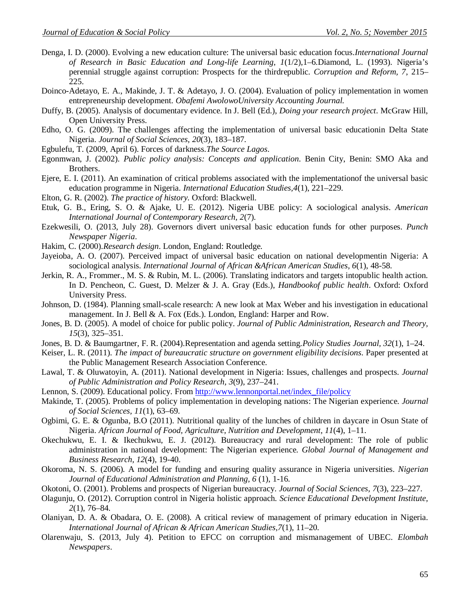- Denga, I. D. (2000). Evolving a new education culture: The universal basic education focus.*International Journal of Research in Basic Education and Long-life Learning, 1*(1/2),1–6.Diamond, L. (1993). Nigeria's perennial struggle against corruption: Prospects for the thirdrepublic. *Corruption and Reform, 7*, 215– 225.
- Doinco-Adetayo, E. A., Makinde, J. T. & Adetayo, J. O. (2004). Evaluation of policy implementation in women entrepreneurship development. *Obafemi AwolowoUniversity Accounting Journal.*
- Duffy, B. (2005). Analysis of documentary evidence. In J. Bell (Ed.), *Doing your research project*. McGraw Hill, Open University Press.
- Edho, O. G. (2009). The challenges affecting the implementation of universal basic educationin Delta State Nigeria. *Journal of Social Sciences, 20*(3), 183–187.
- Egbulefu, T. (2009, April 6). Forces of darkness.*The Source Lagos*.
- Egonmwan, J. (2002). *Public policy analysis: Concepts and application*. Benin City, Benin: SMO Aka and Brothers.
- Ejere, E. I. (2011). An examination of critical problems associated with the implementationof the universal basic education programme in Nigeria. *International Education Studies,4*(1), 221–229.
- Elton, G. R. (2002). *The practice of history*. Oxford: Blackwell.
- Etuk, G. B., Ering, S. O. & Ajake, U. E. (2012). Nigeria UBE policy: A sociological analysis. *American International Journal of Contemporary Research, 2*(7).
- Ezekwesili, O. (2013, July 28). Governors divert universal basic education funds for other purposes. *Punch Newspaper Nigeria*.
- Hakim, C. (2000).*Research design*. London, England: Routledge.
- Jayeioba, A. O. (2007). Perceived impact of universal basic education on national developmentin Nigeria: A sociological analysis. *International Journal of African &African American Studies, 6*(1), 48-58.
- Jerkin, R. A., Frommer., M. S. & Rubin, M. L. (2006). Translating indicators and targets intopublic health action. In D. Pencheon, C. Guest, D. Melzer & J. A. Gray (Eds.), *Handbookof public health*. Oxford: Oxford University Press.
- Johnson, D. (1984). Planning small-scale research: A new look at Max Weber and his investigation in educational management. In J. Bell & A. Fox (Eds.). London, England: Harper and Row.
- Jones, B. D. (2005). A model of choice for public policy. *Journal of Public Administration, Research and Theory, 15*(3), 325–351.
- Jones, B. D. & Baumgartner, F. R. (2004).Representation and agenda setting.*Policy Studies Journal, 32*(1), 1–24.
- Keiser, L. R. (2011). *The impact of bureaucratic structure on government eligibility decisions*. Paper presented at the Public Management Research Association Conference.
- Lawal, T. & Oluwatoyin, A. (2011). National development in Nigeria: Issues, challenges and prospects. *Journal of Public Administration and Policy Research, 3*(9), 237–241.
- Lennon, S. (2009). Educational policy. From http://www.lennonportal.net/index\_file/policy
- Makinde, T. (2005). Problems of policy implementation in developing nations: The Nigerian experience. *Journal of Social Sciences, 11*(1), 63–69.
- Ogbimi, G. E. & Ogunba, B.O (2011). Nutritional quality of the lunches of children in daycare in Osun State of Nigeria. *African Journal of Food, Agriculture, Nutrition and Development, 11*(4), 1–11.
- Okechukwu, E. I. & Ikechukwu, E. J. (2012). Bureaucracy and rural development: The role of public administration in national development: The Nigerian experience. *Global Journal of Management and Business Research, 12*(4), 19-40.
- Okoroma, N. S. (2006). A model for funding and ensuring quality assurance in Nigeria universities. *Nigerian Journal of Educational Administration and Planning, 6* (1), 1-16.
- Okotoni, O. (2001). Problems and prospects of Nigerian bureaucracy. *Journal of Social Sciences, 7*(3), 223–227.
- Olagunju, O. (2012). Corruption control in Nigeria holistic approach. *Science Educational Development Institute, 2*(1), 76–84.
- Olaniyan, D. A. & Obadara, O. E. (2008). A critical review of management of primary education in Nigeria. *International Journal of African & African American Studies,7*(1), 11–20.
- Olarenwaju, S. (2013, July 4). Petition to EFCC on corruption and mismanagement of UBEC. *Elombah Newspapers*.